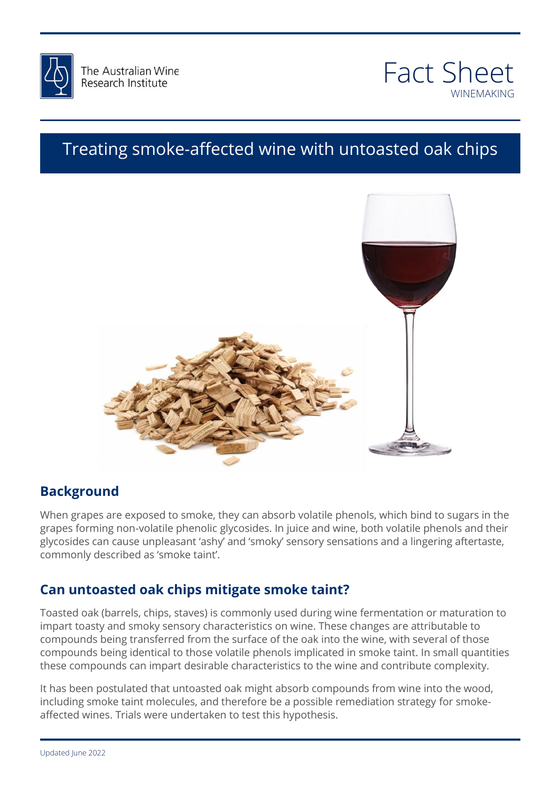



## Treating smoke-affected wine with untoasted oak chips



## **Background**

ъаскgгоина<br>When grapes are exposed to smoke, they can absorb volatile phenols, which bind to sugars in the grapes forming from volatile prieffore grycosides. In juite and wine, boar volatile prieffors and their<br>glycosides can cause unpleasant 'ashy' and 'smoky' sensory sensations and a lingering aftertaste,<br>commonly described a grapes forming non-volatile phenolic glycosides. In juice and wine, both volatile phenols and their commonly described as 'smoke taint'.

#### $24$  and  $24$  and  $24$  and  $24$  and  $24$  and  $24$  and  $24$  and  $24$  and  $24$  and  $24$  and  $24$  and  $24$ **Can untoasted oak chips mitigate smoke taint?**

Toasted oak (barrels, chips, staves) is commonly used during wine fermentation or maturation to<br>impart toasty and smoky sensory characteristics on wine. These changes are attributable to impart toasty and smoky sensory characteristics on wine. These changes are attributable to compounds being transferred from the surface of the oak into the wine, with several of those compounds being identical to those volatile phenols implicated in smoke taint. In small quantities these compounds can impart desirable characteristics to the wine and contribute complexity.

It has been postulated that untoasted oak might absorb compounds from wine into the wood, including smoke taint molecules, and therefore be a possible remediation strategy for smokeaffected wines. Trials were undertaken to test this hypothesis.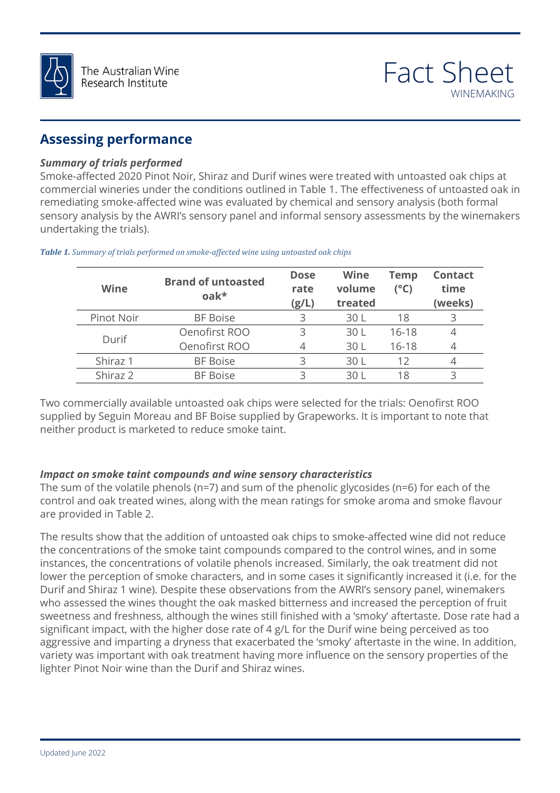

## **Assessing performance**

#### *Summary of trials performed*

Smoke-affected 2020 Pinot Noir, Shiraz and Durif wines were treated with untoasted oak chips at commercial wineries under the conditions outlined in Table 1. The effectiveness of untoasted oak in remediating smoke-affected wine was evaluated by chemical and sensory analysis (both formal sensory analysis by the AWRI's sensory panel and informal sensory assessments by the winemakers undertaking the trials).

| Wine       | <b>Brand of untoasted</b><br>$oak*$ | <b>Dose</b><br>rate<br>(g/L) | <b>Wine</b><br>volume<br>treated | <b>Temp</b><br>$(^{\circ}C)$ | <b>Contact</b><br>time<br>(weeks) |
|------------|-------------------------------------|------------------------------|----------------------------------|------------------------------|-----------------------------------|
| Pinot Noir | <b>BF Boise</b>                     | 3                            | 30 L                             | 18                           |                                   |
| Durif      | Oenofirst ROO                       | 3                            | 30 L                             | $16-18$                      |                                   |
|            | Oenofirst ROO                       | 4                            | 30 L                             | $16-18$                      |                                   |
| Shiraz 1   | <b>BF Boise</b>                     |                              | 30 L                             |                              |                                   |
| Shiraz 2   | <b>BF Boise</b>                     |                              | 30 L                             |                              |                                   |

*Table 1. Summary of trials performed on smoke-affected wine using untoasted oak chips*

Two commercially available untoasted oak chips were selected for the trials: Oenofirst ROO supplied by Seguin Moreau and BF Boise supplied by Grapeworks. It is important to note that<br>neither product is marketed to reduce smoke taint. neither product is marketed to reduce smoke taint.

# else that we can *Impact on smoke taint compounds and wine sensory characteristics*

control and oak treated wines, along with the mean ratings for smoke aroma and smoke flavour<br>are provided in Table 2. The sum of the volatile phenols (n=7) and sum of the phenolic glycosides (n=6) for each of the are provided in Table 2.

The results show that the addition of untoasted oak chips to smoke-affected wine did not reduce<br>the concentrations of the smoke taint compounds compared to the control wines, and in some lower the perception of smoke characters, and in some cases it significantly increased it (i.e. for the<br>Durif and Shiraz 1 wine). Despite these observations from the AWRI's sensory panel, winemakers sweetness and freshness, although the wines still finished with a 'smoky' aftertaste. Dose rate had a<br>significant impact, with the higher dose rate of 4 g/L for the Durif wine being perceived as too the concentrations of the smoke taint compounds compared to the control wines, and in some instances, the concentrations of volatile phenols increased. Similarly, the oak treatment did not Durif and Shiraz 1 wine). Despite these observations from the AWRI's sensory panel, winemakers who assessed the wines thought the oak masked bitterness and increased the perception of fruit significant impact, with the higher dose rate of 4 g/L for the Durif wine being perceived as too aggressive and imparting a dryness that exacerbated the 'smoky' aftertaste in the wine. In addition, variety was important with oak treatment having more influence on the sensory properties of the lighter Pinot Noir wine than the Durif and Shiraz wines.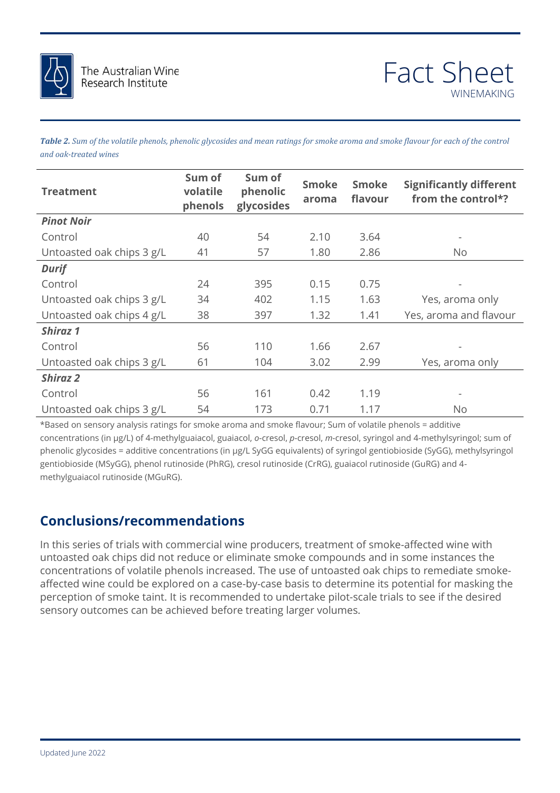

*Table 2. Sum of the volatile phenols, phenolic glycosides and mean ratings for smoke aroma and smoke flavour for each of the control and oak-treated wines*

| <b>Treatment</b>          | Sum of<br>volatile<br>phenols | Sum of<br>phenolic<br>glycosides | <b>Smoke</b><br>aroma | <b>Smoke</b><br>flavour | <b>Significantly different</b><br>from the control*? |
|---------------------------|-------------------------------|----------------------------------|-----------------------|-------------------------|------------------------------------------------------|
| <b>Pinot Noir</b>         |                               |                                  |                       |                         |                                                      |
| Control                   | 40                            | 54                               | 2.10                  | 3.64                    |                                                      |
| Untoasted oak chips 3 g/L | 41                            | 57                               | 1.80                  | 2.86                    | No.                                                  |
| <b>Durif</b>              |                               |                                  |                       |                         |                                                      |
| Control                   | 24                            | 395                              | 0.15                  | 0.75                    |                                                      |
| Untoasted oak chips 3 g/L | 34                            | 402                              | 1.15                  | 1.63                    | Yes, aroma only                                      |
| Untoasted oak chips 4 g/L | 38                            | 397                              | 1.32                  | 1.41                    | Yes, aroma and flavour                               |
| <b>Shiraz 1</b>           |                               |                                  |                       |                         |                                                      |
| Control                   | 56                            | 110                              | 1.66                  | 2.67                    |                                                      |
| Untoasted oak chips 3 g/L | 61                            | 104                              | 3.02                  | 2.99                    | Yes, aroma only                                      |
| <b>Shiraz 2</b>           |                               |                                  |                       |                         |                                                      |
| Control                   | 56                            | 161                              | 0.42                  | 1.19                    |                                                      |
| Untoasted oak chips 3 g/L | 54                            | 173                              | 0.71                  | 1.17                    | No                                                   |

\*Based on sensory analysis ratings for smoke aroma and smoke flavour; Sum of volatile phenols = additive<br>concentrations (in µg/L) of 4-methylguaiacol, guaiacol, *o-*cresol, *p-cresol, m-cresol, syringol and 4-methylsyringo* else that we can also that we concernations (in pg. 2 by 20 equivalents) or byinger gentiobloside (by 20), meany.gym.go.<br>gentiobioside (MSyGG), phenol rutinoside (PhRG), cresol rutinoside (CrRG), guaiacol rutinoside (GuRG) \*Based on sensory analysis ratings for smoke aroma and smoke flavour; Sum of volatile phenols = additive phenolic glycosides = additive concentrations (in µg/L SyGG equivalents) of syringol gentiobioside (SyGG), methylsyringol methylguaiacol rutinoside (MGuRG).

## **Conclusions/recommendations**

reatment of smoke-affected wine with<br>compounds and in some instances the concentrations of volatile phenols increased. The use of untoasted oak chips to remediate smoke-<br>affected wine could be explored on a case-by-case basis to determine its potential for masking the<br>parcentian of smoke taint. In this series of trials with commercial wine producers, treatment of smoke-affected wine with untoasted oak chips did not reduce or eliminate smoke compounds and in some instances the concentrations of volatile phenols increased. The use of untoasted oak chips to remediate smokeperception of smoke taint. It is recommended to undertake pilot-scale trials to see if the desired sensory outcomes can be achieved before treating larger volumes.